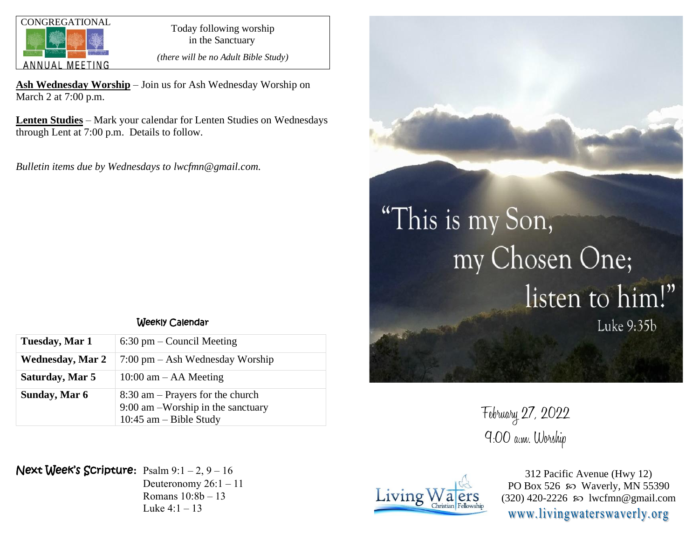

in the Sanctuary

*(there will be no Adult Bible Study)*

**Ash Wednesday Worship** – Join us for Ash Wednesday Worship on March 2 at 7:00 p.m.

**Lenten Studies** – Mark your calendar for Lenten Studies on Wednesdays through Lent at 7:00 p.m. Details to follow.

*Bulletin items due by Wednesdays to lwcfmn@gmail.com.*

## Weekly Calendar

| Tuesday, Mar 1          | $6:30 \text{ pm} - \text{Count}$ Meeting                                                                |
|-------------------------|---------------------------------------------------------------------------------------------------------|
| <b>Wednesday, Mar 2</b> | $7:00 \text{ pm} - \text{Ash Wednesday Workshop}$                                                       |
| Saturday, Mar 5         | $10:00$ am $-$ AA Meeting                                                                               |
| Sunday, Mar 6           | $8:30$ am – Prayers for the church<br>$9:00$ am $-Worship$ in the sanctuary<br>10:45 $am - Bible$ Study |

Next Week's Scripture**:** Psalm 9:1 – 2, 9 – 16

Deuteronomy 26:1 – 11 Romans 10:8b – 13 Luke  $4:1 - 13$ 



## "This is my Son, my Chosen One; listen to him!" Luke 9:35b

February 27, 2022 9:00 a.m. Worship



312 Pacific Avenue (Hwy 12) PO Box 526  $\omega$  Waverly, MN 55390  $(320)$  420-2226 so lwcfmn@gmail.com www.livingwaterswaverly.org